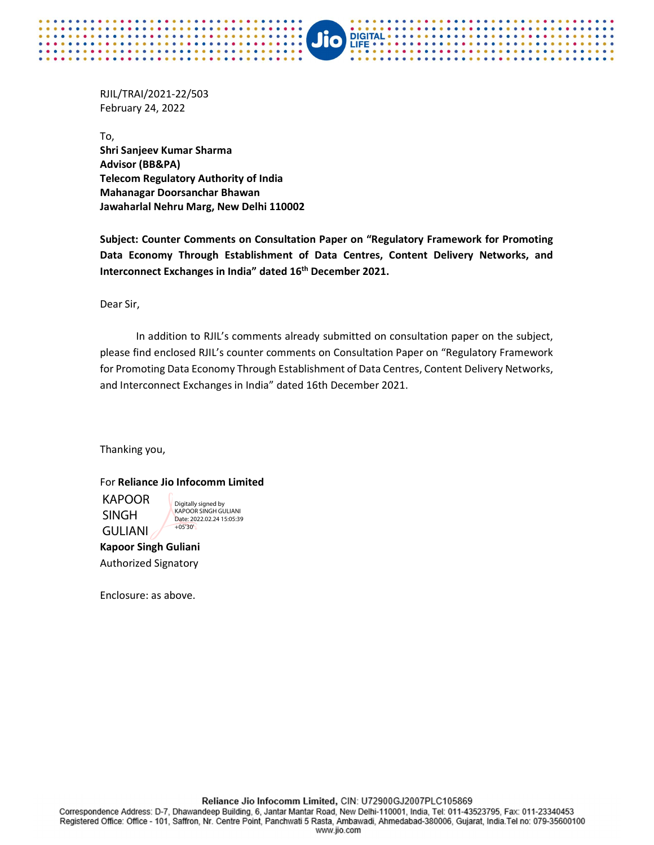RJIL/TRAI/2021-22/503 February 24, 2022

. . . . . . . .

. . . . . . . . .

To, Shri Sanjeev Kumar Sharma Advisor (BB&PA) Telecom Regulatory Authority of India Mahanagar Doorsanchar Bhawan Jawaharlal Nehru Marg, New Delhi 110002

Subject: Counter Comments on Consultation Paper on "Regulatory Framework for Promoting Data Economy Through Establishment of Data Centres, Content Delivery Networks, and Interconnect Exchanges in India" dated 16<sup>th</sup> December 2021.

**DIGITAL** 

LIFE

Dear Sir,

 In addition to RJIL's comments already submitted on consultation paper on the subject, please find enclosed RJIL's counter comments on Consultation Paper on "Regulatory Framework for Promoting Data Economy Through Establishment of Data Centres, Content Delivery Networks, and Interconnect Exchanges in India" dated 16th December 2021.

Thanking you,

## For Reliance Jio Infocomm Limited

KAPOOR SINGH GULIANI

Digitally signed by KAPOOR SINGH GULIANI Date: 2022.02.24 15:05:39 +05'30'

Kapoor Singh Guliani Authorized Signatory

Enclosure: as above.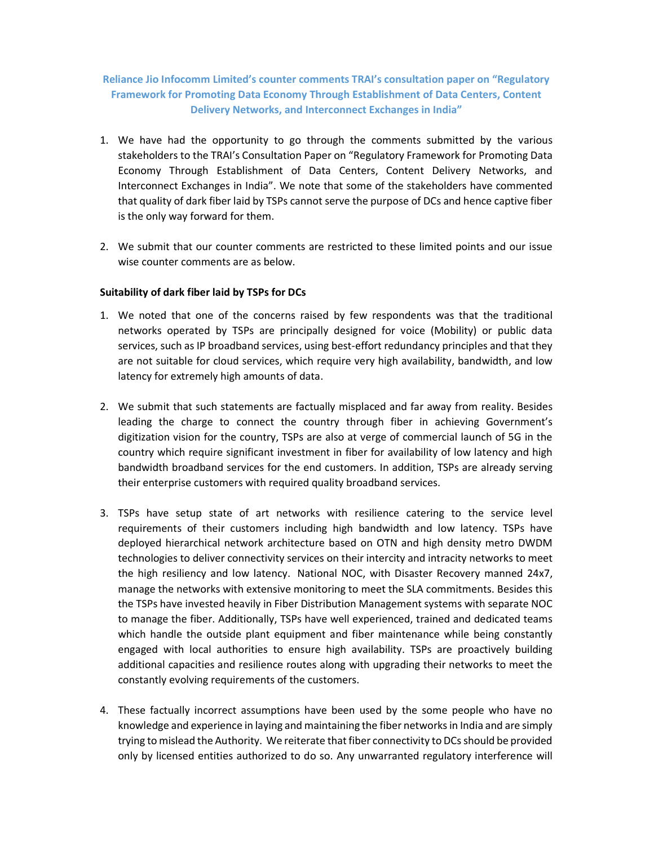## Reliance Jio Infocomm Limited's counter comments TRAI's consultation paper on "Regulatory Framework for Promoting Data Economy Through Establishment of Data Centers, Content Delivery Networks, and Interconnect Exchanges in India"

- 1. We have had the opportunity to go through the comments submitted by the various stakeholders to the TRAI's Consultation Paper on "Regulatory Framework for Promoting Data Economy Through Establishment of Data Centers, Content Delivery Networks, and Interconnect Exchanges in India". We note that some of the stakeholders have commented that quality of dark fiber laid by TSPs cannot serve the purpose of DCs and hence captive fiber is the only way forward for them.
- 2. We submit that our counter comments are restricted to these limited points and our issue wise counter comments are as below.

## Suitability of dark fiber laid by TSPs for DCs

- 1. We noted that one of the concerns raised by few respondents was that the traditional networks operated by TSPs are principally designed for voice (Mobility) or public data services, such as IP broadband services, using best-effort redundancy principles and that they are not suitable for cloud services, which require very high availability, bandwidth, and low latency for extremely high amounts of data.
- 2. We submit that such statements are factually misplaced and far away from reality. Besides leading the charge to connect the country through fiber in achieving Government's digitization vision for the country, TSPs are also at verge of commercial launch of 5G in the country which require significant investment in fiber for availability of low latency and high bandwidth broadband services for the end customers. In addition, TSPs are already serving their enterprise customers with required quality broadband services.
- 3. TSPs have setup state of art networks with resilience catering to the service level requirements of their customers including high bandwidth and low latency. TSPs have deployed hierarchical network architecture based on OTN and high density metro DWDM technologies to deliver connectivity services on their intercity and intracity networks to meet the high resiliency and low latency. National NOC, with Disaster Recovery manned 24x7, manage the networks with extensive monitoring to meet the SLA commitments. Besides this the TSPs have invested heavily in Fiber Distribution Management systems with separate NOC to manage the fiber. Additionally, TSPs have well experienced, trained and dedicated teams which handle the outside plant equipment and fiber maintenance while being constantly engaged with local authorities to ensure high availability. TSPs are proactively building additional capacities and resilience routes along with upgrading their networks to meet the constantly evolving requirements of the customers.
- 4. These factually incorrect assumptions have been used by the some people who have no knowledge and experience in laying and maintaining the fiber networks in India and are simply trying to mislead the Authority. We reiterate that fiber connectivity to DCs should be provided only by licensed entities authorized to do so. Any unwarranted regulatory interference will